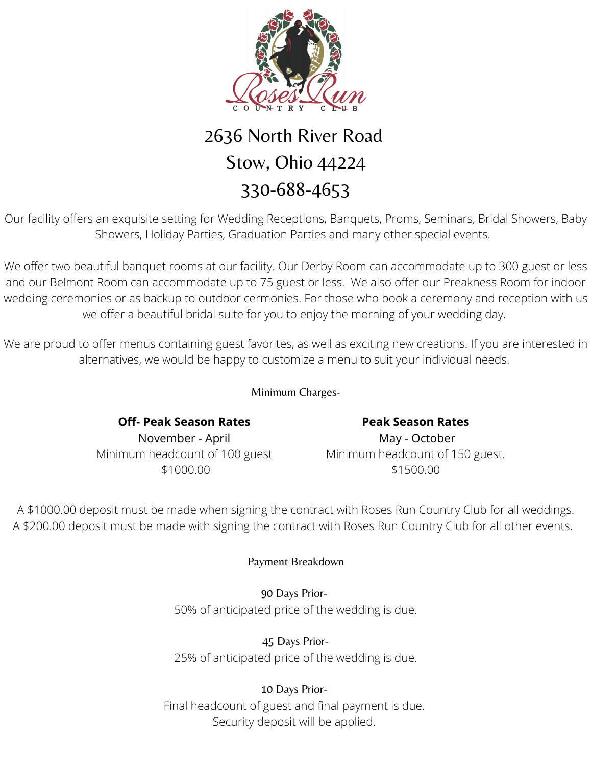

## 2636 North River Road Stow, Ohio 44224 330-688-4653

Our facility offers an exquisite setting for Wedding Receptions, Banquets, Proms, Seminars, Bridal Showers, Baby Showers, Holiday Parties, Graduation Parties and many other special events.

We offer two beautiful banquet rooms at our facility. Our Derby Room can accommodate up to 300 guest or less and our Belmont Room can accommodate up to 75 guest or less. We also offer our Preakness Room for indoor wedding ceremonies or as backup to outdoor cermonies. For those who book a ceremony and reception with us we offer a beautiful bridal suite for you to enjoy the morning of your wedding day.

We are proud to offer menus containing guest favorites, as well as exciting new creations. If you are interested in alternatives, we would be happy to customize a menu to suit your individual needs.

Minimum Charges-

**Off- Peak Season Rates** November - April Minimum headcount of 100 guest \$1000.00

**Peak Season Rates** May - October Minimum headcount of 150 guest. \$1500.00

A \$1000.00 deposit must be made when signing the contract with Roses Run Country Club for all weddings. A \$200.00 deposit must be made with signing the contract with Roses Run Country Club for all other events.

### Payment Breakdown

90 Days Prior-50% of anticipated price of the wedding is due.

45 Days Prior-25% of anticipated price of the wedding is due.

10 Days Prior-Final headcount of guest and final payment is due. Security deposit will be applied.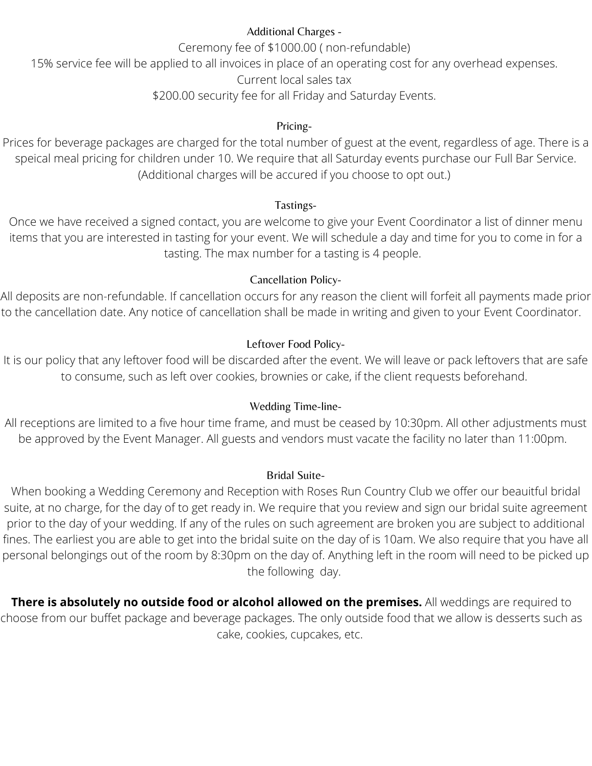#### Additional Charges -

Ceremony fee of \$1000.00 ( non-refundable)

15% service fee will be applied to all invoices in place of an operating cost for any overhead expenses.

Current local sales tax

\$200.00 security fee for all Friday and Saturday Events.

#### Pricing-

Prices for beverage packages are charged for the total number of guest at the event, regardless of age. There is a speical meal pricing for children under 10. We require that all Saturday events purchase our Full Bar Service. (Additional charges will be accured if you choose to opt out.)

#### Tastings-

Once we have received a signed contact, you are welcome to give your Event Coordinator a list of dinner menu items that you are interested in tasting for your event. We will schedule a day and time for you to come in for a tasting. The max number for a tasting is 4 people.

#### Cancellation Policy-

All deposits are non-refundable. If cancellation occurs for any reason the client will forfeit all payments made prior to the cancellation date. Any notice of cancellation shall be made in writing and given to your Event Coordinator.

#### Leftover Food Policy-

It is our policy that any leftover food will be discarded after the event. We will leave or pack leftovers that are safe to consume, such as left over cookies, brownies or cake, if the client requests beforehand.

#### Wedding Time-line-

All receptions are limited to a five hour time frame, and must be ceased by 10:30pm. All other adjustments must be approved by the Event Manager. All guests and vendors must vacate the facility no later than 11:00pm.

#### Bridal Suite-

When booking a Wedding Ceremony and Reception with Roses Run Country Club we offer our beauitful bridal suite, at no charge, for the day of to get ready in. We require that you review and sign our bridal suite agreement prior to the day of your wedding. If any of the rules on such agreement are broken you are subject to additional fines. The earliest you are able to get into the bridal suite on the day of is 10am. We also require that you have all personal belongings out of the room by 8:30pm on the day of. Anything left in the room will need to be picked up the following day.

**There is absolutely no outside food or alcohol allowed on the premises.** All weddings are required to choose from our buffet package and beverage packages. The only outside food that we allow is desserts such as cake, cookies, cupcakes, etc.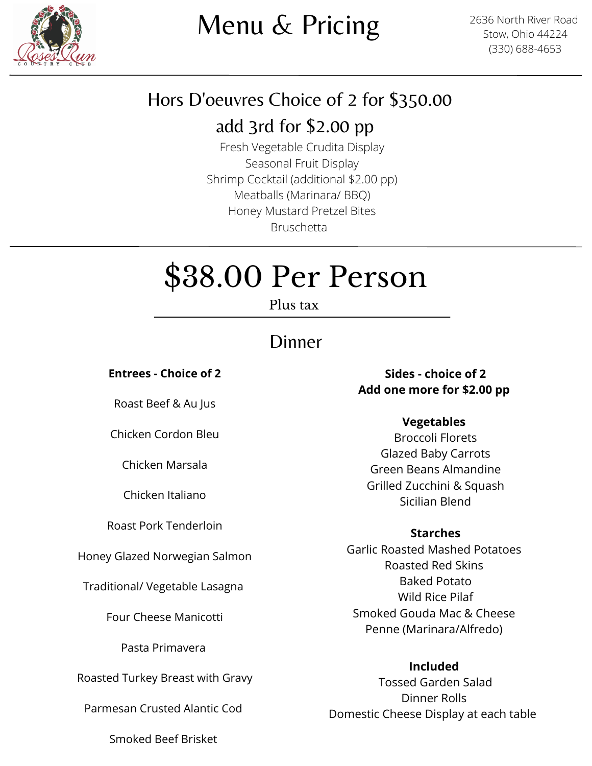

# Menu & Pricing

2636 North River Road Stow, Ohio 44224 (330) 688-4653

### Hors D'oeuvres Choice of 2 for \$350.00

### add 3rd for \$2.00 pp

Fresh Vegetable Crudita Display Seasonal Fruit Display Shrimp Cocktail (additional \$2.00 pp) Meatballs (Marinara/ BBQ) Honey Mustard Pretzel Bites Bruschetta

# \$38.00 Per Person

Plus tax

### Dinner

**Entrees - Choice of 2**

Roast Beef & Au Jus

Chicken Cordon Bleu

Chicken Marsala

Chicken Italiano

Roast Pork Tenderloin

Honey Glazed Norwegian Salmon

Traditional/ Vegetable Lasagna

Four Cheese Manicotti

Pasta Primavera

Roasted Turkey Breast with Gravy

Parmesan Crusted Alantic Cod

**Sides - choice of 2**

### **Add one more for \$2.00 pp**

### **Vegetables**

Broccoli Florets Glazed Baby Carrots Green Beans Almandine Grilled Zucchini & Squash Sicilian Blend

#### **Starches**

Garlic Roasted Mashed Potatoes Roasted Red Skins Baked Potato Wild Rice Pilaf Smoked Gouda Mac & Cheese Penne (Marinara/Alfredo)

### **Included**

Tossed Garden Salad Dinner Rolls Domestic Cheese Display at each table

Smoked Beef Brisket